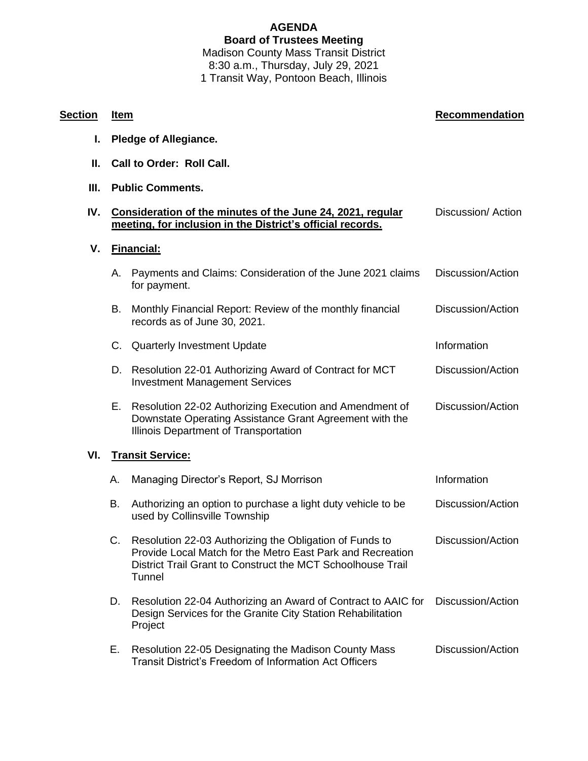## **AGENDA Board of Trustees Meeting** Madison County Mass Transit District 8:30 a.m., Thursday, July 29, 2021 1 Transit Way, Pontoon Beach, Illinois

**Section Item Recommendation**

## **I. Pledge of Allegiance. II. Call to Order: Roll Call. III. Public Comments. IV. Consideration of the minutes of the June 24, 2021, regular meeting, for inclusion in the District's official records.** Discussion/ Action **V. Financial:** A. Payments and Claims: Consideration of the June 2021 claims for payment. Discussion/Action B. Monthly Financial Report: Review of the monthly financial records as of June 30, 2021. Discussion/Action C. Quarterly Investment Update Information Information D. Resolution 22-01 Authorizing Award of Contract for MCT Investment Management Services Discussion/Action E. Resolution 22-02 Authorizing Execution and Amendment of Downstate Operating Assistance Grant Agreement with the Illinois Department of Transportation Discussion/Action **VI. Transit Service:** A. Managing Director's Report, SJ Morrison **Information** Information B. Authorizing an option to purchase a light duty vehicle to be used by Collinsville Township Discussion/Action C. Resolution 22-03 Authorizing the Obligation of Funds to Provide Local Match for the Metro East Park and Recreation District Trail Grant to Construct the MCT Schoolhouse Trail **Tunnel** Discussion/Action D. Resolution 22-04 Authorizing an Award of Contract to AAIC for Design Services for the Granite City Station Rehabilitation Project Discussion/Action E. Resolution 22-05 Designating the Madison County Mass Transit District's Freedom of Information Act Officers Discussion/Action